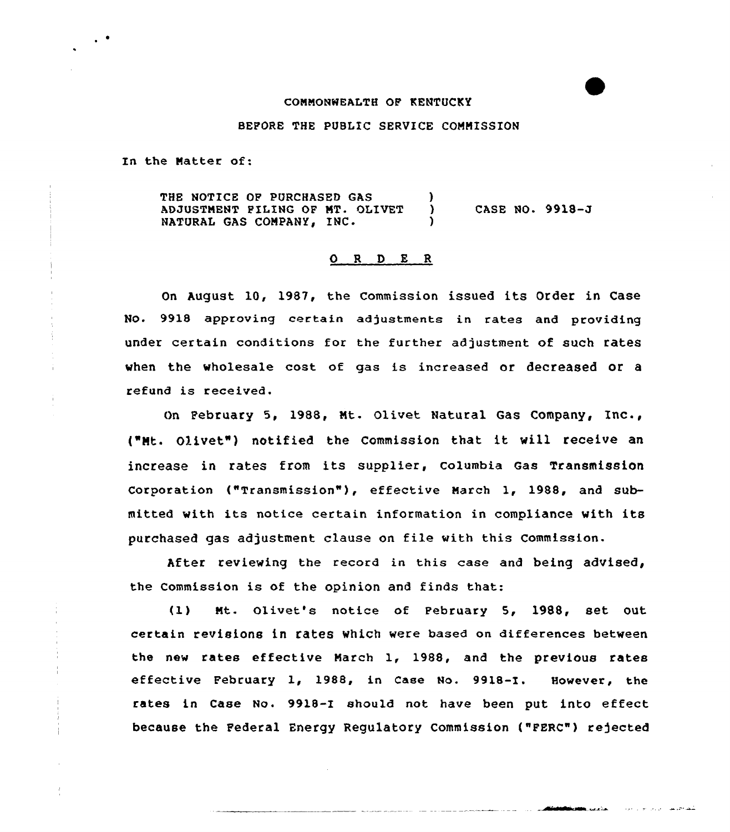## CONNONWEALTH OF KENTUCKY

BEFORE THE PUBLIC SERVICE CONNISS ION

In the Natter of:

 $\cdot$   $\cdot$ 

THE NOTICE OF PURCHASED GAS (3) ADJUSTMENT PILING OF MT. OLIVET )<br>Natural Cas Company, INC. NATURAL GAS COMPANY, INC. CASE NO. 9918-J

## O R D E R

On August 10, 1987, the Commission issued its Order in Case No. 9918 approving certain adjustments in rates and providing under certain conditions for the further adjustment of such rates when the wholesale cost of gas is increased or decreased or a refund is received.

On Pebruary 5, 1988, Nt. Olivet Natural Gas Company, Inc., ("Nt. Olivet") notified the Commission that it will receive an increase in rates from its supplier, columbia Gas Transmission Corporation ("Transmission" ), effective Narch 1, 1988, and submitted with its notice certain information in compliance with its purchased gas adjustment clause on file with this Commission.

After reviewing the record in this case and being advised, the Commission is of the opinion and finds that:

(1) Nt. Olivet's notice of Pebruary 5, 1988, set out certain revisions in rates which were based on differences between the new rates effective Narch 1, 1988, and the previous rates effective Pebruary 1, 1988, in Case No. 9918-I. However, the rates in Case No. 9918-I shou1d not have been put into effect because the Pederal Energy Regulatory Commission ("PERC") rejected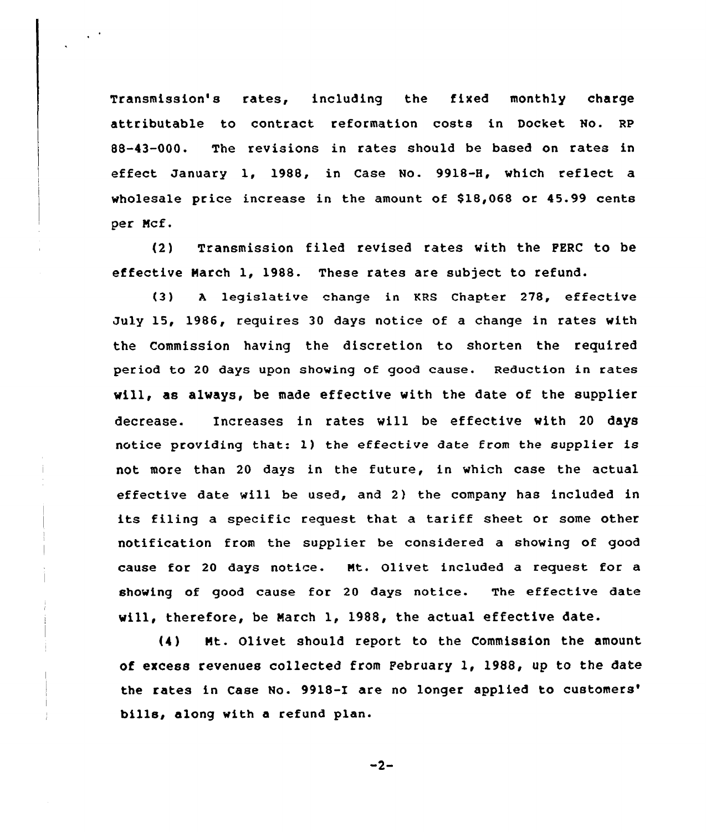Transmission's rates, including the fixed monthly charge attributable to contract reformation costs in Docket No. Re 88-43-000. The revisions in rates should be based on rates in effect January 1, 1988, in Case No. 9918-H, which reflect a wholesale price increase in the amount of \$18,068 or 45.99 cents per Ncf.

{2) Transmission filed revised rates with the PERC to be effective Harch 1, 1988. These rates are subject to refund.

{3) <sup>A</sup> legislative change in KRS Chapter 278, effective July 15, 1986, requires 30 days notice of a change in rates with the Commission having the discretion to shorten the required period to 20 days upon showing of good cause. Reduction in rates vill, as always, be made effective with the date of the supplier decrease. Increases in rates will be effective with 20 days notice providing that: 1) the effective date from the supplier is not more than 20 days in the future, in which case the actual effective date will be used, and 2} the company has included in its filing a specific request that a tariff sheet or some other notification from the supplier be considered a showing of good cause for 20 days notice. Mt. Olivet included a request for a showing of good cause for 20 days notice. The effective date will, therefore, be March 1, 1988, the actual effective date.

{4) Nt. Olivet should report to the Commission the amount of excess revenues collected from Pebruary l, 1988, up to the date the rates in Case No. 9918-I are no longer applied to customers' bills, along with a refund plan.

 $-2-$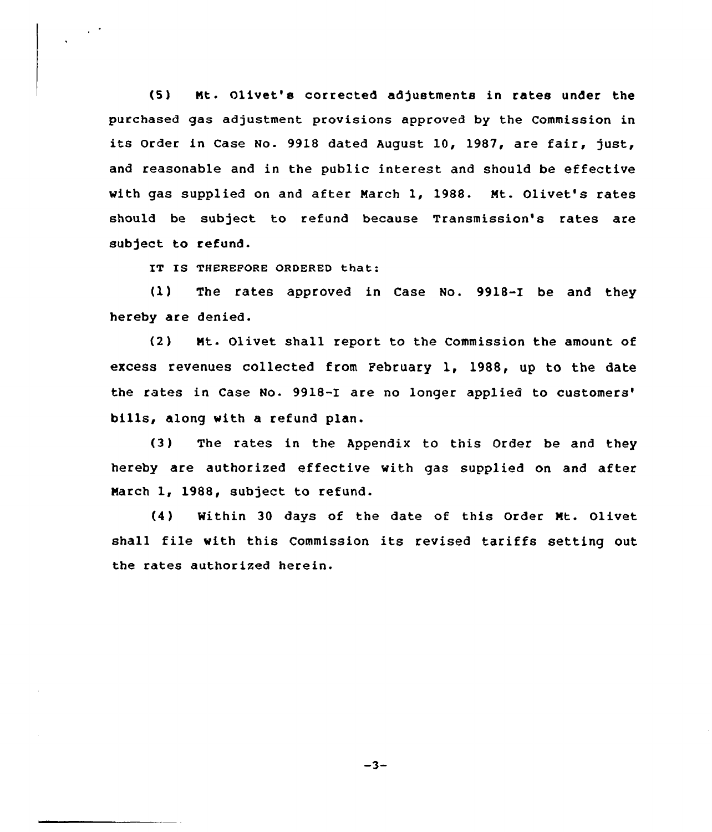(5) Nt. Olivet'a corrected adjustments in rates under the purchased gas adjustment provisions approved by the Commission in its Order in Case No. 9918 dated Auqust 10, 1987, are fair, just, and reasonable and in the public interest and should be effective with gas supplied on and after March 1, 1988. Mt. Olivet's rates should be subject to refund because Transmission's rates are subject to refund.

IT IS THEREPORE ORDERED that:

 $\frac{1}{2}$ 

(1) The rates approved in Case No. 9918-I be and they hereby are denied.

(2) Mt. Olivet shall report to the Commission the amount of excess revenues collected from February 1, 1988, up to the date the rates in Case No. 9918-I are no longer applied to bills, along with a refund plan.

(3) The rates in the Appendix to this Order be and they hereby are authorized effective with gas supplied on and after March 1, 198S, subject to refund.

(4) Within 30 days of the date of this Order Mt. Olivet shall file with this Commission its revised tariffs setting out the rates authorized herein.

 $-3-$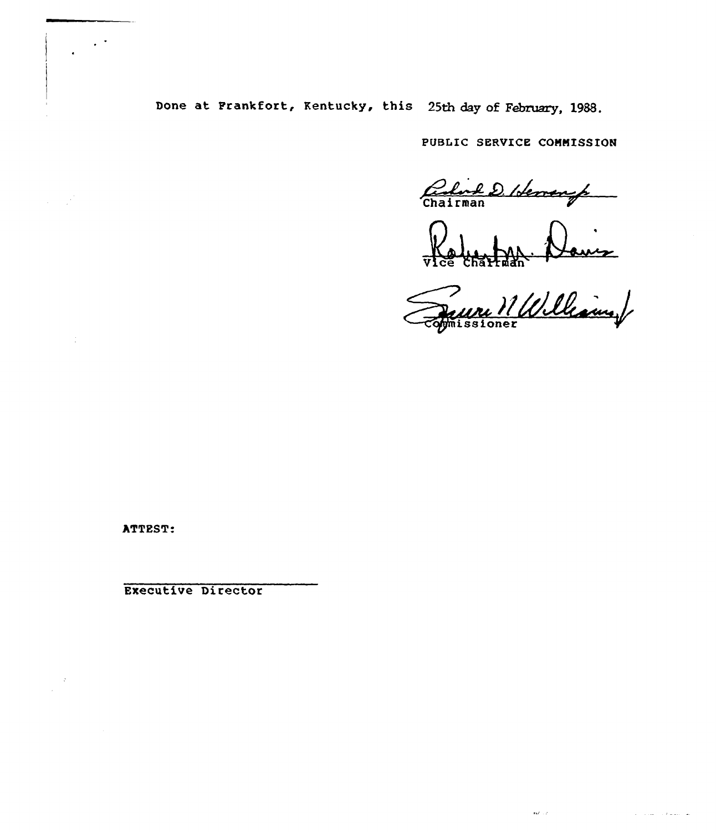Done at Frankfort, Kentucky, this 25th day of February, 1988.

PUBLIC SERVICE COHNISSION

Carlos D. Idement

100 Charton Arouer

 $\mathbf{r}(\mathcal{E}^{\mathcal{L}}_{\mathcal{E}}(\mathcal{E}^{\mathcal{L}}_{\mathcal{E}}))$ 

.<br>تم التحوية بالمحدود العام ال

ATTEST:

 $\sim$   $^{\circ}$ 

 $\omega \sim \omega^2$ 

 $\mathcal{L}$ 

 $\sim 1.2$ 

Executive Director